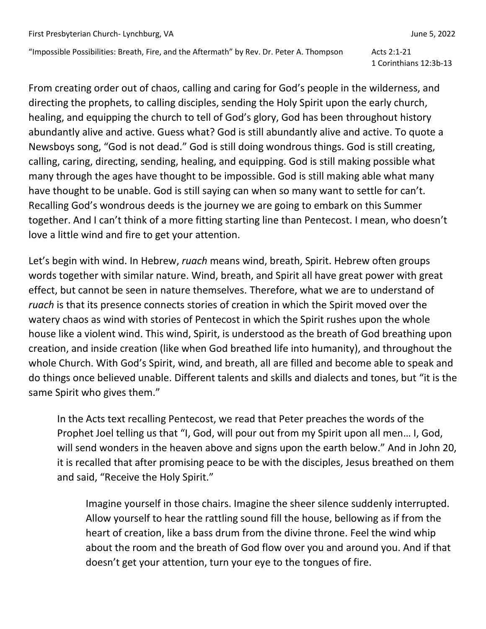"Impossible Possibilities: Breath, Fire, and the Aftermath" by Rev. Dr. Peter A. Thompson Acts 2:1-21

1 Corinthians 12:3b-13

From creating order out of chaos, calling and caring for God's people in the wilderness, and directing the prophets, to calling disciples, sending the Holy Spirit upon the early church, healing, and equipping the church to tell of God's glory, God has been throughout history abundantly alive and active. Guess what? God is still abundantly alive and active. To quote a Newsboys song, "God is not dead." God is still doing wondrous things. God is still creating, calling, caring, directing, sending, healing, and equipping. God is still making possible what many through the ages have thought to be impossible. God is still making able what many have thought to be unable. God is still saying can when so many want to settle for can't. Recalling God's wondrous deeds is the journey we are going to embark on this Summer together. And I can't think of a more fitting starting line than Pentecost. I mean, who doesn't love a little wind and fire to get your attention.

Let's begin with wind. In Hebrew, *ruach* means wind, breath, Spirit. Hebrew often groups words together with similar nature. Wind, breath, and Spirit all have great power with great effect, but cannot be seen in nature themselves. Therefore, what we are to understand of *ruach* is that its presence connects stories of creation in which the Spirit moved over the watery chaos as wind with stories of Pentecost in which the Spirit rushes upon the whole house like a violent wind. This wind, Spirit, is understood as the breath of God breathing upon creation, and inside creation (like when God breathed life into humanity), and throughout the whole Church. With God's Spirit, wind, and breath, all are filled and become able to speak and do things once believed unable. Different talents and skills and dialects and tones, but "it is the same Spirit who gives them."

In the Acts text recalling Pentecost, we read that Peter preaches the words of the Prophet Joel telling us that "I, God, will pour out from my Spirit upon all men… I, God, will send wonders in the heaven above and signs upon the earth below." And in John 20, it is recalled that after promising peace to be with the disciples, Jesus breathed on them and said, "Receive the Holy Spirit."

Imagine yourself in those chairs. Imagine the sheer silence suddenly interrupted. Allow yourself to hear the rattling sound fill the house, bellowing as if from the heart of creation, like a bass drum from the divine throne. Feel the wind whip about the room and the breath of God flow over you and around you. And if that doesn't get your attention, turn your eye to the tongues of fire.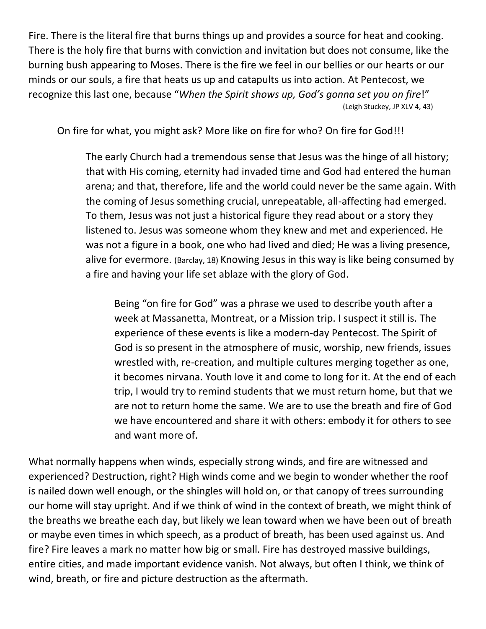Fire. There is the literal fire that burns things up and provides a source for heat and cooking. There is the holy fire that burns with conviction and invitation but does not consume, like the burning bush appearing to Moses. There is the fire we feel in our bellies or our hearts or our minds or our souls, a fire that heats us up and catapults us into action. At Pentecost, we recognize this last one, because "*When the Spirit shows up, God's gonna set you on fire*!" (Leigh Stuckey, JP XLV 4, 43)

On fire for what, you might ask? More like on fire for who? On fire for God!!!

The early Church had a tremendous sense that Jesus was the hinge of all history; that with His coming, eternity had invaded time and God had entered the human arena; and that, therefore, life and the world could never be the same again. With the coming of Jesus something crucial, unrepeatable, all-affecting had emerged. To them, Jesus was not just a historical figure they read about or a story they listened to. Jesus was someone whom they knew and met and experienced. He was not a figure in a book, one who had lived and died; He was a living presence, alive for evermore. (Barclay, 18) Knowing Jesus in this way is like being consumed by a fire and having your life set ablaze with the glory of God.

Being "on fire for God" was a phrase we used to describe youth after a week at Massanetta, Montreat, or a Mission trip. I suspect it still is. The experience of these events is like a modern-day Pentecost. The Spirit of God is so present in the atmosphere of music, worship, new friends, issues wrestled with, re-creation, and multiple cultures merging together as one, it becomes nirvana. Youth love it and come to long for it. At the end of each trip, I would try to remind students that we must return home, but that we are not to return home the same. We are to use the breath and fire of God we have encountered and share it with others: embody it for others to see and want more of.

What normally happens when winds, especially strong winds, and fire are witnessed and experienced? Destruction, right? High winds come and we begin to wonder whether the roof is nailed down well enough, or the shingles will hold on, or that canopy of trees surrounding our home will stay upright. And if we think of wind in the context of breath, we might think of the breaths we breathe each day, but likely we lean toward when we have been out of breath or maybe even times in which speech, as a product of breath, has been used against us. And fire? Fire leaves a mark no matter how big or small. Fire has destroyed massive buildings, entire cities, and made important evidence vanish. Not always, but often I think, we think of wind, breath, or fire and picture destruction as the aftermath.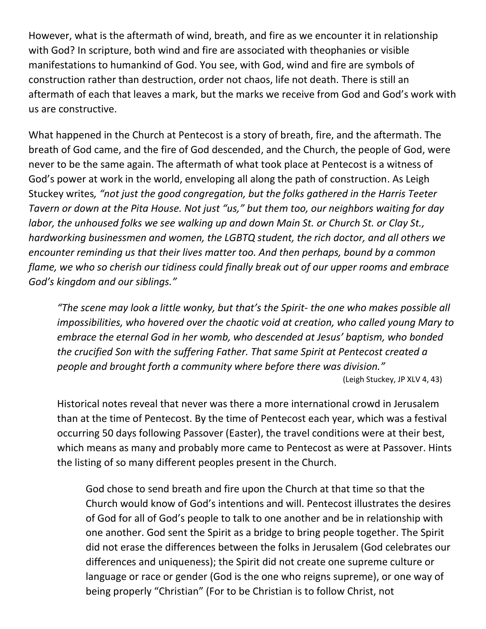However, what is the aftermath of wind, breath, and fire as we encounter it in relationship with God? In scripture, both wind and fire are associated with theophanies or visible manifestations to humankind of God. You see, with God, wind and fire are symbols of construction rather than destruction, order not chaos, life not death. There is still an aftermath of each that leaves a mark, but the marks we receive from God and God's work with us are constructive.

What happened in the Church at Pentecost is a story of breath, fire, and the aftermath. The breath of God came, and the fire of God descended, and the Church, the people of God, were never to be the same again. The aftermath of what took place at Pentecost is a witness of God's power at work in the world, enveloping all along the path of construction. As Leigh Stuckey writes*, "not just the good congregation, but the folks gathered in the Harris Teeter Tavern or down at the Pita House. Not just "us," but them too, our neighbors waiting for day labor, the unhoused folks we see walking up and down Main St. or Church St. or Clay St., hardworking businessmen and women, the LGBTQ student, the rich doctor, and all others we encounter reminding us that their lives matter too. And then perhaps, bound by a common flame, we who so cherish our tidiness could finally break out of our upper rooms and embrace God's kingdom and our siblings."*

*"The scene may look a little wonky, but that's the Spirit- the one who makes possible all impossibilities, who hovered over the chaotic void at creation, who called young Mary to embrace the eternal God in her womb, who descended at Jesus' baptism, who bonded the crucified Son with the suffering Father. That same Spirit at Pentecost created a people and brought forth a community where before there was division."*

(Leigh Stuckey, JP XLV 4, 43)

Historical notes reveal that never was there a more international crowd in Jerusalem than at the time of Pentecost. By the time of Pentecost each year, which was a festival occurring 50 days following Passover (Easter), the travel conditions were at their best, which means as many and probably more came to Pentecost as were at Passover. Hints the listing of so many different peoples present in the Church.

God chose to send breath and fire upon the Church at that time so that the Church would know of God's intentions and will. Pentecost illustrates the desires of God for all of God's people to talk to one another and be in relationship with one another. God sent the Spirit as a bridge to bring people together. The Spirit did not erase the differences between the folks in Jerusalem (God celebrates our differences and uniqueness); the Spirit did not create one supreme culture or language or race or gender (God is the one who reigns supreme), or one way of being properly "Christian" (For to be Christian is to follow Christ, not